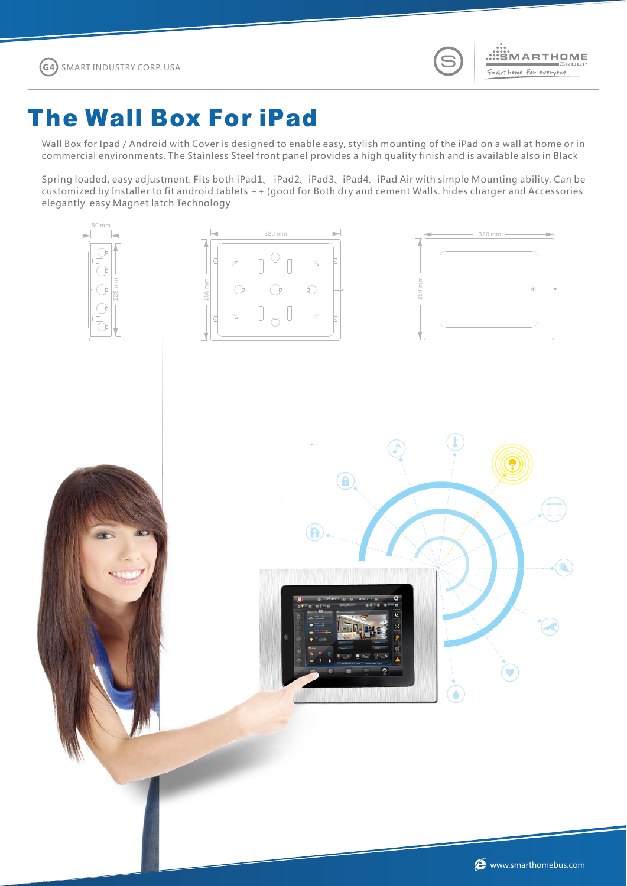Wall Box for Ipad / Android with Cover is designed to enable easy, stylish mounting of the iPad on a wall at home or in commercial environments. The Stainless Steel front panel provides a high quality finish and is available also in Black

Spring loaded, easy adjustment. Fits both iPad1、 iPad2、iPad3、iPad4、iPad Air with simple Mounting ability. Can be customized by Installer to fit android tablets ++ (good for Both dry and cement Walls. hides charger and Accessories elegantly. easy Magnet latch Technology

## The Wall Box For iPad